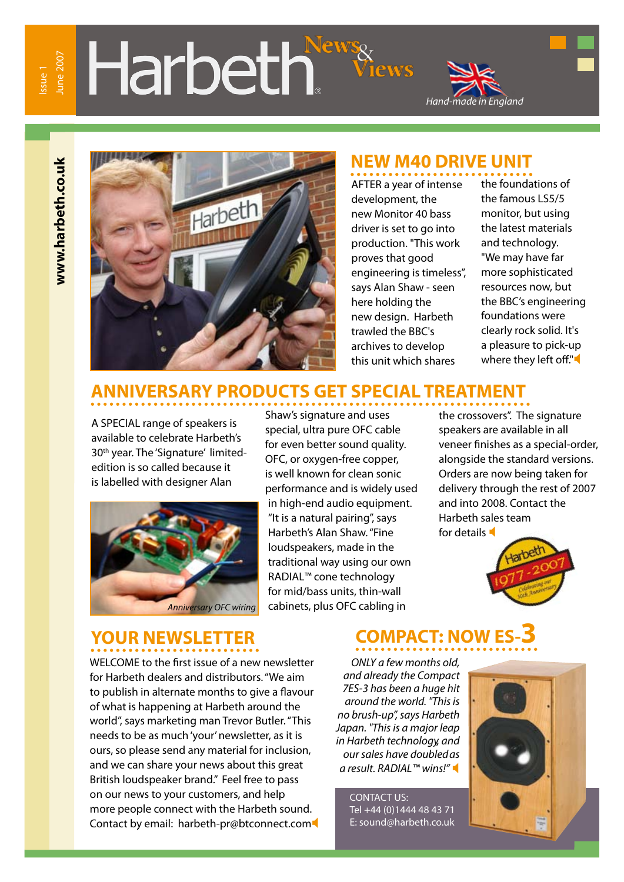## une 2007 June 2007

# Harbeth





### **NEW M40 DRIVE UNIT**

AFTER a year of intense development, the new Monitor 40 bass driver is set to go into production. "This work proves that good engineering is timeless", says Alan Shaw - seen here holding the new design. Harbeth trawled the BBC's archives to develop this unit which shares

the foundations of the famous LS5/5 monitor, but using the latest materials and technology. "We may have far more sophisticated resources now, but the BBC's engineering foundations were clearly rock solid. It's a pleasure to pick-up where they left off."

### **ANNIVERSARY PRODUCTS GET SPECIAL TREATMENT**

A SPECIAL range of speakers is available to celebrate Harbeth's 30<sup>th</sup> year. The 'Signature' limitededition is so called because it is labelled with designer Alan



### *Anniversary OFC wiring*

Shaw's signature and uses special, ultra pure OFC cable for even better sound quality. OFC, or oxygen-free copper, is well known for clean sonic performance and is widely used in high-end audio equipment. "It is a natural pairing", says Harbeth's Alan Shaw. "Fine loudspeakers, made in the traditional way using our own RADIAL™ cone technology for mid/bass units, thin-wall cabinets, plus OFC cabling in

the crossovers". The signature speakers are available in all veneer finishes as a special-order, alongside the standard versions. Orders are now being taken for delivery through the rest of 2007 and into 2008. Contact the Harbeth sales team for details



WELCOME to the first issue of a new newsletter for Harbeth dealers and distributors. "We aim to publish in alternate months to give a flavour of what is happening at Harbeth around the world", says marketing man Trevor Butler. "This needs to be as much 'your' newsletter, as it is ours, so please send any material for inclusion, and we can share your news about this great British loudspeaker brand." Feel free to pass on our news to your customers, and help more people connect with the Harbeth sound. Contact by email: harbeth-pr@btconnect.com

### **YOUR NEWSLETTER COMPACT: NOW ES-3**

*ONLY a few months old, and already the Compact 7ES-3 has been a huge hit around the world. "This is no brush-up", says Harbeth Japan. "This is a major leap in Harbeth technology, and our sales have doubled as a result. RADIAL™ wins!"* 

> CONTACT US: Tel +44 (0)1444 48 43 71 E: sound@harbeth.co.uk